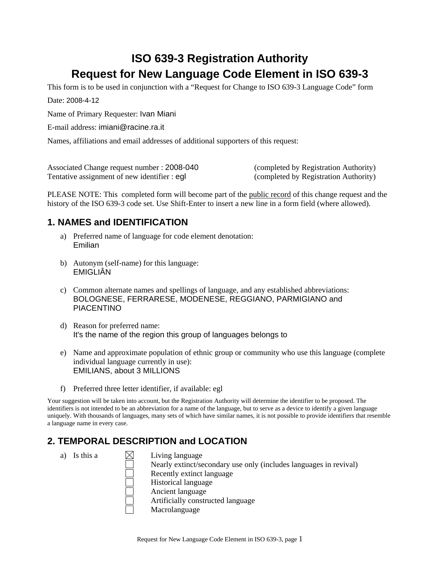# **ISO 639-3 Registration Authority Request for New Language Code Element in ISO 639-3**

This form is to be used in conjunction with a "Request for Change to ISO 639-3 Language Code" form

Date: 2008-4-12

Name of Primary Requester: Ivan Miani

E-mail address: imiani@racine.ra.it

Names, affiliations and email addresses of additional supporters of this request:

Associated Change request number : 2008-040 (completed by Registration Authority) Tentative assignment of new identifier : eql (completed by Registration Authority)

PLEASE NOTE: This completed form will become part of the public record of this change request and the history of the ISO 639-3 code set. Use Shift-Enter to insert a new line in a form field (where allowed).

# **1. NAMES and IDENTIFICATION**

- a) Preferred name of language for code element denotation: Emilian
- b) Autonym (self-name) for this language: EMIGLIÂN
- c) Common alternate names and spellings of language, and any established abbreviations: BOLOGNESE, FERRARESE, MODENESE, REGGIANO, PARMIGIANO and PIACENTINO
- d) Reason for preferred name: It's the name of the region this group of languages belongs to
- e) Name and approximate population of ethnic group or community who use this language (complete individual language currently in use): EMILIANS, about 3 MILLIONS
- f) Preferred three letter identifier, if available: egl

Your suggestion will be taken into account, but the Registration Authority will determine the identifier to be proposed. The identifiers is not intended to be an abbreviation for a name of the language, but to serve as a device to identify a given language uniquely. With thousands of languages, many sets of which have similar names, it is not possible to provide identifiers that resemble a language name in every case.

# **2. TEMPORAL DESCRIPTION and LOCATION**

a) Is this a  $\bowtie$  Living language Nearly extinct/secondary use only (includes languages in revival) Recently extinct language Historical language Ancient language Artificially constructed language Macrolanguage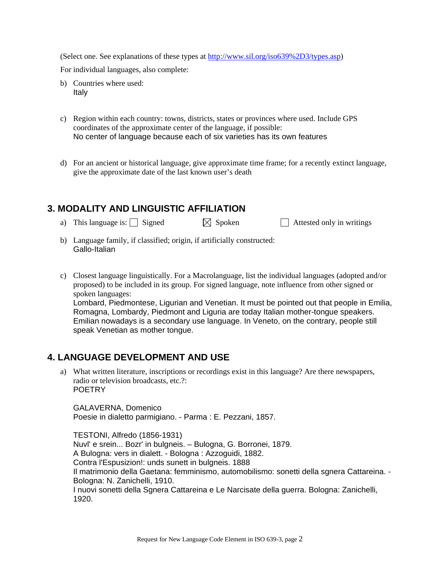(Select one. See explanations of these types at http://www.sil.org/iso639%2D3/types.asp)

For individual languages, also complete:

- b) Countries where used: Italy
- c) Region within each country: towns, districts, states or provinces where used. Include GPS coordinates of the approximate center of the language, if possible: No center of language because each of six varieties has its own features
- d) For an ancient or historical language, give approximate time frame; for a recently extinct language, give the approximate date of the last known user's death

# **3. MODALITY AND LINGUISTIC AFFILIATION**

- a) This language is:  $\Box$  Signed  $\Box$  Spoken  $\Box$  Attested only in writings
- b) Language family, if classified; origin, if artificially constructed: Gallo-Italian
- c) Closest language linguistically. For a Macrolanguage, list the individual languages (adopted and/or proposed) to be included in its group. For signed language, note influence from other signed or spoken languages: Lombard, Piedmontese, Ligurian and Venetian. It must be pointed out that people in Emilia, Romagna, Lombardy, Piedmont and Liguria are today Italian mother-tongue speakers. Emilian nowadays is a secondary use language. In Veneto, on the contrary, people still speak Venetian as mother tongue.

# **4. LANGUAGE DEVELOPMENT AND USE**

a) What written literature, inscriptions or recordings exist in this language? Are there newspapers, radio or television broadcasts, etc.?: **POFTRY** 

GALAVERNA, Domenico Poesie in dialetto parmigiano. - Parma : E. Pezzani, 1857.

TESTONI, Alfredo (1856-1931) Nuvl' e srein... Bozr' in bulgneis. – Bulogna, G. Borronei, 1879. A Bulogna: vers in dialett. - Bologna : Azzoguidi, 1882. Contra l'Espusizion!: unds sunett in bulgneis. 1888 Il matrimonio della Gaetana: femminismo, automobilismo: sonetti della sgnera Cattareina. - Bologna: N. Zanichelli, 1910. I nuovi sonetti della Sgnera Cattareina e Le Narcisate della guerra. Bologna: Zanichelli, 1920.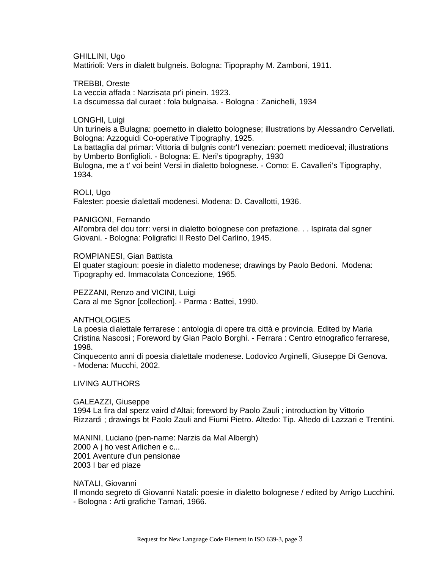GHILLINI, Ugo Mattirioli: Vers in dialett bulgneis. Bologna: Tipopraphy M. Zamboni, 1911.

TREBBI, Oreste La veccia affada : Narzisata pr'i pinein. 1923. La dscumessa dal curaet : fola bulgnaisa. - Bologna : Zanichelli, 1934

LONGHI, Luigi

Un turineis a Bulagna: poemetto in dialetto bolognese; illustrations by Alessandro Cervellati. Bologna: Azzoguidi Co-operative Tipography, 1925. La battaglia dal primar: Vittoria di bulgnis contr'I venezian: poemett medioeval; illustrations by Umberto Bonfiglioli. - Bologna: E. Neri's tipography, 1930 Bulogna, me a t' voi bein! Versi in dialetto bolognese. - Como: E. Cavalleri's Tipography, 1934.

ROLI, Ugo

Falester: poesie dialettali modenesi. Modena: D. Cavallotti, 1936.

PANIGONI, Fernando

All'ombra del dou torr: versi in dialetto bolognese con prefazione. . . Ispirata dal sgner Giovani. - Bologna: Poligrafici Il Resto Del Carlino, 1945.

ROMPIANESI, Gian Battista

El quater stagioun: poesie in dialetto modenese; drawings by Paolo Bedoni. Modena: Tipography ed. Immacolata Concezione, 1965.

PEZZANI, Renzo and VICINI, Luigi Cara al me Sgnor [collection]. - Parma : Battei, 1990.

**ANTHOLOGIES** 

La poesia dialettale ferrarese : antologia di opere tra città e provincia. Edited by Maria Cristina Nascosi ; Foreword by Gian Paolo Borghi. - Ferrara : Centro etnografico ferrarese, 1998.

Cinquecento anni di poesia dialettale modenese. Lodovico Arginelli, Giuseppe Di Genova. - Modena: Mucchi, 2002.

LIVING AUTHORS

GALEAZZI, Giuseppe 1994 La fira dal sperz vaird d'Altai; foreword by Paolo Zauli ; introduction by Vittorio Rizzardi ; drawings bt Paolo Zauli and Fiumi Pietro. Altedo: Tip. Altedo di Lazzari e Trentini.

MANINI, Luciano (pen-name: Narzis da Mal Albergh) 2000 A j ho vest Arlichen e c... 2001 Aventure d'un pensionae 2003 I bar ed piaze

NATALI, Giovanni

Il mondo segreto di Giovanni Natali: poesie in dialetto bolognese / edited by Arrigo Lucchini. - Bologna : Arti grafiche Tamari, 1966.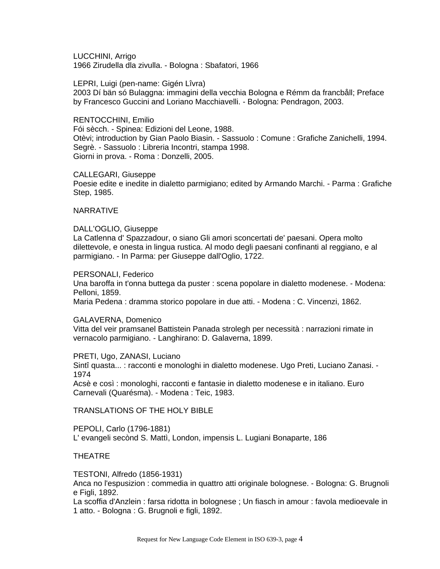LUCCHINI, Arrigo 1966 Zirudella dla zivulla. - Bologna : Sbafatori, 1966

LEPRI, Luigi (pen-name: Gigén Lîvra) 2003 Dí bän só Bulaggna: immagini della vecchia Bologna e Rémm da francbåll; Preface by Francesco Guccini and Loriano Macchiavelli. - Bologna: Pendragon, 2003.

RENTOCCHINI, Emilio Fói sècch. - Spinea: Edizioni del Leone, 1988. Otèvi; introduction by Gian Paolo Biasin. - Sassuolo : Comune : Grafiche Zanichelli, 1994. Segrè. - Sassuolo : Libreria Incontri, stampa 1998. Giorni in prova. - Roma : Donzelli, 2005.

CALLEGARI, Giuseppe

Poesie edite e inedite in dialetto parmigiano; edited by Armando Marchi. - Parma : Grafiche Step, 1985.

#### NARRATIVE

#### DALL'OGLIO, Giuseppe

La Catlenna d' Spazzadour, o siano Gli amori sconcertati de' paesani. Opera molto dilettevole, e onesta in lingua rustica. Al modo degli paesani confinanti al reggiano, e al parmigiano. - In Parma: per Giuseppe dall'Oglio, 1722.

#### PERSONALI, Federico

Una baroffa in t'onna buttega da puster : scena popolare in dialetto modenese. - Modena: Pelloni, 1859.

Maria Pedena : dramma storico popolare in due atti. - Modena : C. Vincenzi, 1862.

#### GALAVERNA, Domenico

Vitta del veir pramsanel Battistein Panada strolegh per necessità : narrazioni rimate in vernacolo parmigiano. - Langhirano: D. Galaverna, 1899.

PRETI, Ugo, ZANASI, Luciano

Sintî quasta... : racconti e monologhi in dialetto modenese. Ugo Preti, Luciano Zanasi. - 1974

Acsè e così : monologhi, racconti e fantasie in dialetto modenese e in italiano. Euro Carnevali (Quarésma). - Modena : Teic, 1983.

### TRANSLATIONS OF THE HOLY BIBLE

PEPOLI, Carlo (1796-1881) L' evangeli secònd S. Mattì, London, impensis L. Lugiani Bonaparte, 186

### THEATRE

TESTONI, Alfredo (1856-1931)

Anca no l'espusizion : commedia in quattro atti originale bolognese. - Bologna: G. Brugnoli e Figli, 1892.

La scoffia d'Anzlein : farsa ridotta in bolognese ; Un fiasch in amour : favola medioevale in 1 atto. - Bologna : G. Brugnoli e figli, 1892.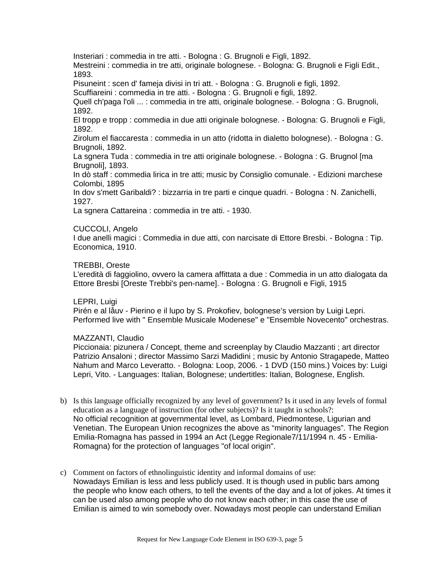Insteriari : commedia in tre atti. - Bologna : G. Brugnoli e Figli, 1892.

Mestreini : commedia in tre atti, originale bolognese. - Bologna: G. Brugnoli e Figli Edit., 1893.

Pisuneint : scen d' fameja divisi in tri att. - Bologna : G. Brugnoli e figli, 1892.

Scuffiareini : commedia in tre atti. - Bologna : G. Brugnoli e figli, 1892.

Quell ch'paga l'oli ... : commedia in tre atti, originale bolognese. - Bologna : G. Brugnoli, 1892.

El tropp e tropp : commedia in due atti originale bolognese. - Bologna: G. Brugnoli e Figli, 1892.

Zirolum el fiaccaresta : commedia in un atto (ridotta in dialetto bolognese). - Bologna : G. Brugnoli, 1892.

La sgnera Tuda : commedia in tre atti originale bolognese. - Bologna : G. Brugnol [ma Brugnoli], 1893.

In dò staff : commedia lirica in tre atti; music by Consiglio comunale. - Edizioni marchese Colombi, 1895

In dov s'mett Garibaldi? : bizzarria in tre parti e cinque quadri. - Bologna : N. Zanichelli, 1927.

La sgnera Cattareina : commedia in tre atti. - 1930.

### CUCCOLI, Angelo

I due anelli magici : Commedia in due atti, con narcisate di Ettore Bresbi. - Bologna : Tip. Economica, 1910.

#### TREBBI, Oreste

L'eredità di faggiolino, ovvero la camera affittata a due : Commedia in un atto dialogata da Ettore Bresbi [Oreste Trebbi's pen-name]. - Bologna : G. Brugnoli e Figli, 1915

#### LEPRI, Luigi

Pirén e al låuv - Pierino e il lupo by S. Prokofiev, bolognese's version by Luigi Lepri. Performed live with " Ensemble Musicale Modenese" e "Ensemble Novecento" orchestras.

### MAZZANTI, Claudio

Piccionaia: pizunera / Concept, theme and screenplay by Claudio Mazzanti ; art director Patrizio Ansaloni ; director Massimo Sarzi Madidini ; music by Antonio Stragapede, Matteo Nahum and Marco Leveratto. - Bologna: Loop, 2006. - 1 DVD (150 mins.) Voices by: Luigi Lepri, Vito. - Languages: Italian, Bolognese; undertitles: Italian, Bolognese, English.

- b) Is this language officially recognized by any level of government? Is it used in any levels of formal education as a language of instruction (for other subjects)? Is it taught in schools?: No official recognition at governmental level, as Lombard, Piedmontese, Ligurian and Venetian. The European Union recognizes the above as "minority languages". The Region Emilia-Romagna has passed in 1994 an Act (Legge Regionale7/11/1994 n. 45 - Emilia-Romagna) for the protection of languages "of local origin".
- c) Comment on factors of ethnolinguistic identity and informal domains of use: Nowadays Emilian is less and less publicly used. It is though used in public bars among the people who know each others, to tell the events of the day and a lot of jokes. At times it can be used also among people who do not know each other; in this case the use of Emilian is aimed to win somebody over. Nowadays most people can understand Emilian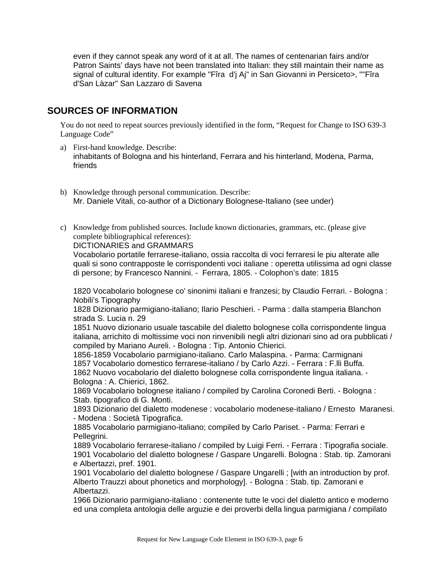even if they cannot speak any word of it at all. The names of centenarian fairs and/or Patron Saints' days have not been translated into Italian: they still maintain their name as signal of cultural identity. For example "Fîra d'j Aj" in San Giovanni in Persiceto>, ""Fîra d'San Làzar" San Lazzaro di Savena

# **SOURCES OF INFORMATION**

You do not need to repeat sources previously identified in the form, "Request for Change to ISO 639-3 Language Code"

- a) First-hand knowledge. Describe: inhabitants of Bologna and his hinterland, Ferrara and his hinterland, Modena, Parma, friends
- b) Knowledge through personal communication. Describe: Mr. Daniele Vitali, co-author of a Dictionary Bolognese-Italiano (see under)
- c) Knowledge from published sources. Include known dictionaries, grammars, etc. (please give complete bibliographical references):

DICTIONARIES and GRAMMARS

Vocabolario portatile ferrarese-italiano, ossia raccolta di voci ferraresi le piu alterate alle quali si sono contrapposte le corrispondenti voci italiane : operetta utilissima ad ogni classe di persone; by Francesco Nannini. - Ferrara, 1805. - Colophon's date: 1815

1820 Vocabolario bolognese co' sinonimi italiani e franzesi; by Claudio Ferrari. - Bologna : Nobili's Tipography

1828 Dizionario parmigiano-italiano; Ilario Peschieri. - Parma : dalla stamperia Blanchon strada S. Lucia n. 29

1851 Nuovo dizionario usuale tascabile del dialetto bolognese colla corrispondente lingua italiana, arrichito di moltissime voci non rinvenibili negli altri dizionari sino ad ora pubblicati / compiled by Mariano Aureli. - Bologna : Tip. Antonio Chierici.

1856-1859 Vocabolario parmigiano-italiano. Carlo Malaspina. - Parma: Carmignani 1857 Vocabolario domestico ferrarese-italiano / by Carlo Azzi. - Ferrara : F.lli Buffa. 1862 Nuovo vocabolario del dialetto bolognese colla corrispondente lingua italiana. - Bologna : A. Chierici, 1862.

1869 Vocabolario bolognese italiano / compiled by Carolina Coronedi Berti. - Bologna : Stab. tipografico di G. Monti.

1893 Dizionario del dialetto modenese : vocabolario modenese-italiano / Ernesto Maranesi. - Modena : Società Tipografica.

1885 Vocabolario parmigiano-italiano; compiled by Carlo Pariset. - Parma: Ferrari e Pellegrini.

1889 Vocabolario ferrarese-italiano / compiled by Luigi Ferri. - Ferrara : Tipografia sociale. 1901 Vocabolario del dialetto bolognese / Gaspare Ungarelli. Bologna : Stab. tip. Zamorani e Albertazzi, pref. 1901.

1901 Vocabolario del dialetto bolognese / Gaspare Ungarelli ; [with an introduction by prof. Alberto Trauzzi about phonetics and morphology]. - Bologna : Stab. tip. Zamorani e Albertazzi.

1966 Dizionario parmigiano-italiano : contenente tutte le voci del dialetto antico e moderno ed una completa antologia delle arguzie e dei proverbi della lingua parmigiana / compilato